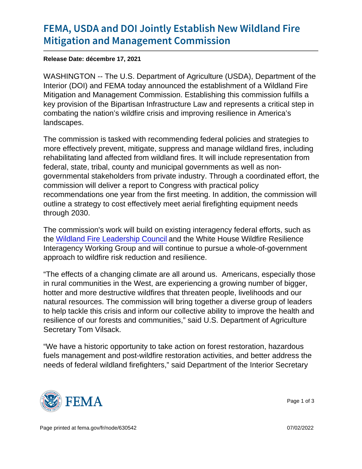## [FEMA, USDA and DOI Jointly Esta](https://www.fema.gov/press-release/20211217/fema-usda-and-doi-jointly-establish-new-wildland-fire-mitigation-and)blish Ne [Mitigation and Manageme](https://www.fema.gov/press-release/20211217/fema-usda-and-doi-jointly-establish-new-wildland-fire-mitigation-and)nt Commission

Release Date: décembre 17, 2021

WASHINGTON -- The U.S. Department of Agriculture (USDA), Department of the Interior (DOI) and FEMA today announced the establishment of a Wildland Fire Mitigation and Management Commission. Establishing this commission fulfills a key provision of the Bipartisan Infrastructure Law and represents a critical step in combating the nation's wildfire crisis and improving resilience in America's landscapes.

The commission is tasked with recommending federal policies and strategies to more effectively prevent, mitigate, suppress and manage wildland fires, including rehabilitating land affected from wildland fires. It will include representation from federal, state, tribal, county and municipal governments as well as nongovernmental stakeholders from private industry. Through a coordinated effort, the commission will deliver a report to Congress with practical policy recommendations one year from the first meeting. In addition, the commission will outline a strategy to cost effectively meet aerial firefighting equipment needs through 2030.

The commission's work will build on existing interagency federal efforts, such as the [Wildland Fire Leadership Council](https://www.forestsandrangelands.gov/leadership/) and the White House Wildfire Resilience Interagency Working Group and will continue to pursue a whole-of-government approach to wildfire risk reduction and resilience.

"The effects of a changing climate are all around us. Americans, especially those in rural communities in the West, are experiencing a growing number of bigger, hotter and more destructive wildfires that threaten people, livelihoods and our natural resources. The commission will bring together a diverse group of leaders to help tackle this crisis and inform our collective ability to improve the health and resilience of our forests and communities," said U.S. Department of Agriculture Secretary Tom Vilsack.

"We have a historic opportunity to take action on forest restoration, hazardous fuels management and post-wildfire restoration activities, and better address the needs of federal wildland firefighters," said Department of the Interior Secretary



Page 1 of 3

Page printed at [fema.gov/fr/node/630542](https://www.fema.gov/fr/node/630542) 07/02/2022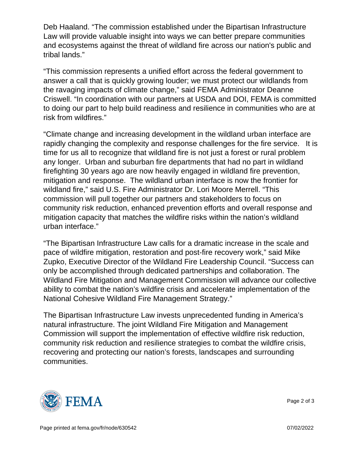Deb Haaland. "The commission established under the Bipartisan Infrastructure Law will provide valuable insight into ways we can better prepare communities and ecosystems against the threat of wildland fire across our nation's public and tribal lands."

"This commission represents a unified effort across the federal government to answer a call that is quickly growing louder; we must protect our wildlands from the ravaging impacts of climate change," said FEMA Administrator Deanne Criswell. "In coordination with our partners at USDA and DOI, FEMA is committed to doing our part to help build readiness and resilience in communities who are at risk from wildfires."

"Climate change and increasing development in the wildland urban interface are rapidly changing the complexity and response challenges for the fire service. It is time for us all to recognize that wildland fire is not just a forest or rural problem any longer. Urban and suburban fire departments that had no part in wildland firefighting 30 years ago are now heavily engaged in wildland fire prevention, mitigation and response. The wildland urban interface is now the frontier for wildland fire," said U.S. Fire Administrator Dr. Lori Moore Merrell. "This commission will pull together our partners and stakeholders to focus on community risk reduction, enhanced prevention efforts and overall response and mitigation capacity that matches the wildfire risks within the nation's wildland urban interface."

"The Bipartisan Infrastructure Law calls for a dramatic increase in the scale and pace of wildfire mitigation, restoration and post-fire recovery work," said Mike Zupko, Executive Director of the Wildland Fire Leadership Council. "Success can only be accomplished through dedicated partnerships and collaboration. The Wildland Fire Mitigation and Management Commission will advance our collective ability to combat the nation's wildfire crisis and accelerate implementation of the National Cohesive Wildland Fire Management Strategy."

The Bipartisan Infrastructure Law invests unprecedented funding in America's natural infrastructure. The joint Wildland Fire Mitigation and Management Commission will support the implementation of effective wildfire risk reduction, community risk reduction and resilience strategies to combat the wildfire crisis, recovering and protecting our nation's forests, landscapes and surrounding communities.



Page 2 of 3

Page printed at [fema.gov/fr/node/630542](https://www.fema.gov/fr/node/630542) 07/02/2022